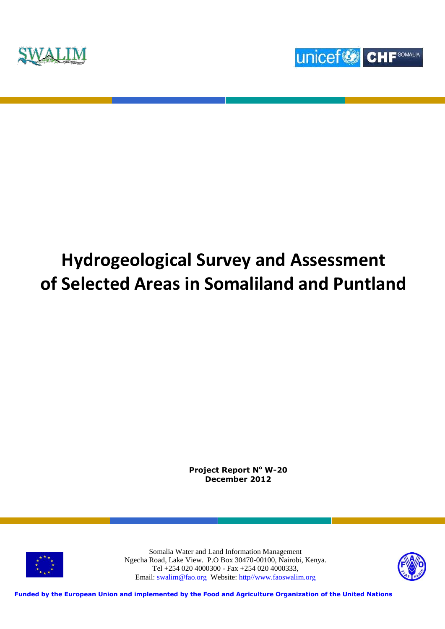



# **Hydrogeological Survey and Assessment of Selected Areas in Somaliland and Puntland**

**Project Report N<sup>o</sup> W-20 December 2012**



Somalia Water and Land Information Management Ngecha Road, Lake View. P.O Box 30470-00100, Nairobi, Kenya. Tel +254 020 4000300 - Fax +254 020 4000333, Email: [swalim@fao.org](mailto:swalim@fao.org) Website: [http//www.faoswalim.org](http://www.faoswalim.org/)



**Funded by the European Union and implemented by the Food and Agriculture Organization of the United Nations**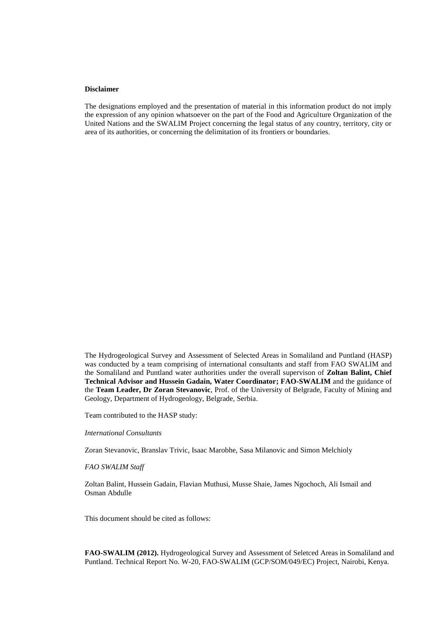#### **Disclaimer**

The designations employed and the presentation of material in this information product do not imply the expression of any opinion whatsoever on the part of the Food and Agriculture Organization of the United Nations and the SWALIM Project concerning the legal status of any country, territory, city or area of its authorities, or concerning the delimitation of its frontiers or boundaries.

The Hydrogeological Survey and Assessment of Selected Areas in Somaliland and Puntland (HASP) was conducted by a team comprising of international consultants and staff from FAO SWALIM and the Somaliland and Puntland water authorities under the overall supervison of **Zoltan Balint, Chief Technical Advisor and Hussein Gadain, Water Coordinator; FAO-SWALIM** and the guidance of the **Team Leader, Dr Zoran Stevanovic**, Prof. of the University of Belgrade, Faculty of Mining and Geology, Department of Hydrogeology, Belgrade, Serbia.

Team contributed to the HASP study:

#### *International Consultants*

Zoran Stevanovic, Branslav Trivic, Isaac Marobhe, Sasa Milanovic and Simon Melchioly

#### *FAO SWALIM Staff*

Zoltan Balint, Hussein Gadain, Flavian Muthusi, Musse Shaie, James Ngochoch, Ali Ismail and Osman Abdulle

This document should be cited as follows:

**FAO-SWALIM (2012).** Hydrogeological Survey and Assessment of Seletced Areas in Somaliland and Puntland. Technical Report No. W-20, FAO-SWALIM (GCP/SOM/049/EC) Project, Nairobi, Kenya.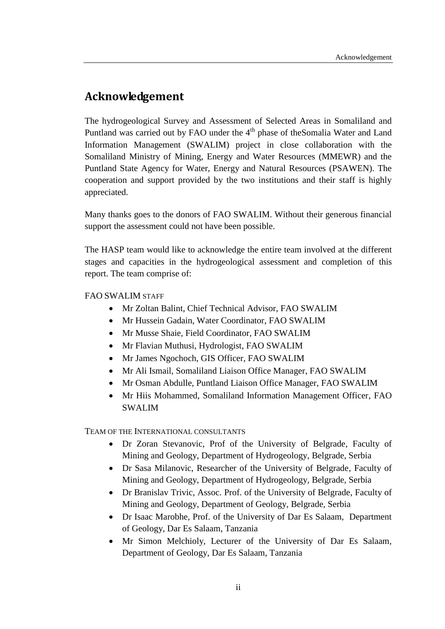# <span id="page-2-0"></span>**Acknowledgement**

The hydrogeological Survey and Assessment of Selected Areas in Somaliland and Puntland was carried out by FAO under the  $4<sup>th</sup>$  phase of the Somalia Water and Land Information Management (SWALIM) project in close collaboration with the Somaliland Ministry of Mining, Energy and Water Resources (MMEWR) and the Puntland State Agency for Water, Energy and Natural Resources (PSAWEN). The cooperation and support provided by the two institutions and their staff is highly appreciated.

Many thanks goes to the donors of FAO SWALIM. Without their generous financial support the assessment could not have been possible.

The HASP team would like to acknowledge the entire team involved at the different stages and capacities in the hydrogeological assessment and completion of this report. The team comprise of:

## FAO SWALIM STAFF

- Mr Zoltan Balint, Chief Technical Advisor, FAO SWALIM
- Mr Hussein Gadain, Water Coordinator, FAO SWALIM
- Mr Musse Shaie, Field Coordinator, FAO SWALIM
- Mr Flavian Muthusi, Hydrologist, FAO SWALIM
- Mr James Ngochoch, GIS Officer, FAO SWALIM
- Mr Ali Ismail, Somaliland Liaison Office Manager, FAO SWALIM
- Mr Osman Abdulle, Puntland Liaison Office Manager, FAO SWALIM
- Mr Hiis Mohammed, Somaliland Information Management Officer, FAO SWALIM

TEAM OF THE INTERNATIONAL CONSULTANTS

- Dr Zoran Stevanovic, Prof of the University of Belgrade, Faculty of Mining and Geology, Department of Hydrogeology, Belgrade, Serbia
- Dr Sasa Milanovic, Researcher of the University of Belgrade, Faculty of Mining and Geology, Department of Hydrogeology, Belgrade, Serbia
- Dr Branislav Trivic, Assoc. Prof. of the University of Belgrade, Faculty of Mining and Geology, Department of Geology, Belgrade, Serbia
- Dr Isaac Marobhe, Prof. of the University of Dar Es Salaam, Department of Geology, Dar Es Salaam, Tanzania
- Mr Simon Melchioly, Lecturer of the University of Dar Es Salaam, Department of Geology, Dar Es Salaam, Tanzania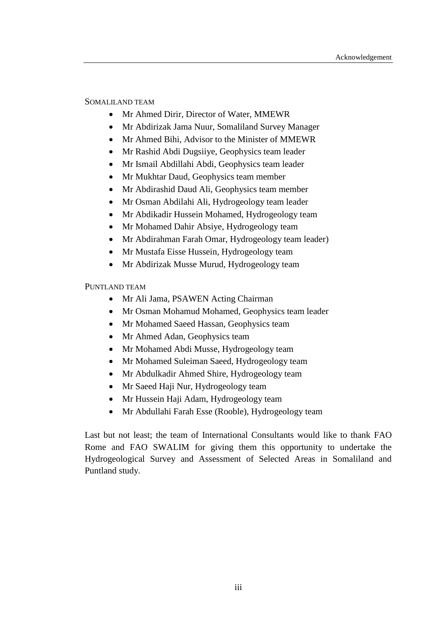#### SOMALILAND TEAM

- Mr Ahmed Dirir, Director of Water, MMEWR
- Mr Abdirizak Jama Nuur, Somaliland Survey Manager
- Mr Ahmed Bihi, Advisor to the Minister of MMEWR
- Mr Rashid Abdi Dugsiiye, Geophysics team leader
- Mr Ismail Abdillahi Abdi, Geophysics team leader
- Mr Mukhtar Daud, Geophysics team member
- Mr Abdirashid Daud Ali, Geophysics team member
- Mr Osman Abdilahi Ali, Hydrogeology team leader
- Mr Abdikadir Hussein Mohamed, Hydrogeology team
- Mr Mohamed Dahir Absiye, Hydrogeology team
- Mr Abdirahman Farah Omar, Hydrogeology team leader)
- Mr Mustafa Eisse Hussein, Hydrogeology team
- Mr Abdirizak Musse Murud, Hydrogeology team

#### PUNTLAND TEAM

- Mr Ali Jama, PSAWEN Acting Chairman
- Mr Osman Mohamud Mohamed, Geophysics team leader
- Mr Mohamed Saeed Hassan, Geophysics team
- Mr Ahmed Adan, Geophysics team
- Mr Mohamed Abdi Musse, Hydrogeology team
- Mr Mohamed Suleiman Saeed, Hydrogeology team
- Mr Abdulkadir Ahmed Shire, Hydrogeology team
- Mr Saeed Haji Nur, Hydrogeology team
- Mr Hussein Haji Adam, Hydrogeology team
- Mr Abdullahi Farah Esse (Rooble), Hydrogeology team

Last but not least; the team of International Consultants would like to thank FAO Rome and FAO SWALIM for giving them this opportunity to undertake the Hydrogeological Survey and Assessment of Selected Areas in Somaliland and Puntland study.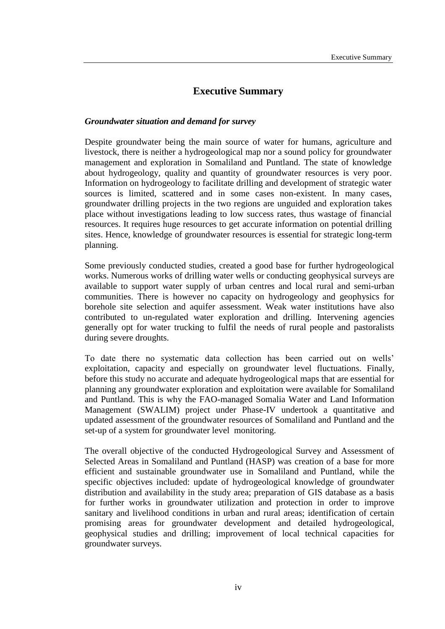## **Executive Summary**

#### <span id="page-4-0"></span>*Groundwater situation and demand for survey*

Despite groundwater being the main source of water for humans, agriculture and livestock, there is neither a hydrogeological map nor a sound policy for groundwater management and exploration in Somaliland and Puntland. The state of knowledge about hydrogeology, quality and quantity of groundwater resources is very poor. Information on hydrogeology to facilitate drilling and development of strategic water sources is limited, scattered and in some cases non-existent. In many cases, groundwater drilling projects in the two regions are unguided and exploration takes place without investigations leading to low success rates, thus wastage of financial resources. It requires huge resources to get accurate information on potential drilling sites. Hence, knowledge of groundwater resources is essential for strategic long-term planning.

Some previously conducted studies, created a good base for further hydrogeological works. Numerous works of drilling water wells or conducting geophysical surveys are available to support water supply of urban centres and local rural and semi-urban communities. There is however no capacity on hydrogeology and geophysics for borehole site selection and aquifer assessment. Weak water institutions have also contributed to un-regulated water exploration and drilling. Intervening agencies generally opt for water trucking to fulfil the needs of rural people and pastoralists during severe droughts.

To date there no systematic data collection has been carried out on wells' exploitation, capacity and especially on groundwater level fluctuations. Finally, before this study no accurate and adequate hydrogeological maps that are essential for planning any groundwater exploration and exploitation were available for Somaliland and Puntland. This is why the FAO-managed Somalia Water and Land Information Management (SWALIM) project under Phase-IV undertook a quantitative and updated assessment of the groundwater resources of Somaliland and Puntland and the set-up of a system for groundwater level monitoring.

The overall objective of the conducted Hydrogeological Survey and Assessment of Selected Areas in Somaliland and Puntland (HASP) was creation of a base for more efficient and sustainable groundwater use in Somaliland and Puntland, while the specific objectives included: update of hydrogeological knowledge of groundwater distribution and availability in the study area; preparation of GIS database as a basis for further works in groundwater utilization and protection in order to improve sanitary and livelihood conditions in urban and rural areas; identification of certain promising areas for groundwater development and detailed hydrogeological, geophysical studies and drilling; improvement of local technical capacities for groundwater surveys.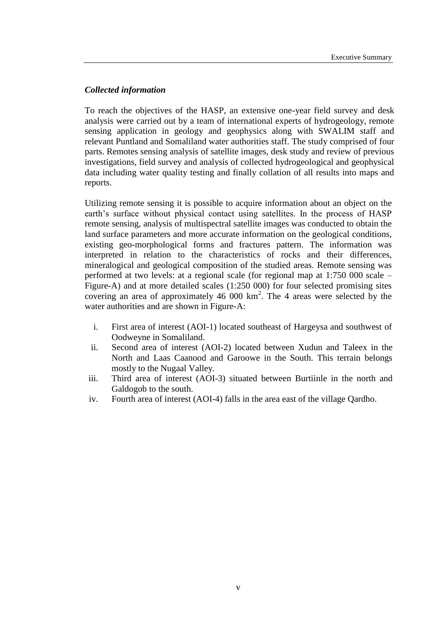## *Collected information*

To reach the objectives of the HASP, an extensive one-year field survey and desk analysis were carried out by a team of international experts of hydrogeology, remote sensing application in geology and geophysics along with SWALIM staff and relevant Puntland and Somaliland water authorities staff. The study comprised of four parts. Remotes sensing analysis of satellite images, desk study and review of previous investigations, field survey and analysis of collected hydrogeological and geophysical data including water quality testing and finally collation of all results into maps and reports.

Utilizing remote sensing it is possible to acquire information about an object on the earth's surface without physical contact using satellites. In the process of HASP remote sensing, analysis of multispectral satellite images was conducted to obtain the land surface parameters and more accurate information on the geological conditions, existing geo-morphological forms and fractures pattern. The information was interpreted in relation to the characteristics of rocks and their differences, mineralogical and geological composition of the studied areas. Remote sensing was performed at two levels: at a regional scale (for regional map at 1:750 000 scale – Figure-A) and at more detailed scales (1:250 000) for four selected promising sites covering an area of approximately  $46\,000\ \text{km}^2$ . The 4 areas were selected by the water authorities and are shown in Figure-A:

- i. First area of interest (AOI-1) located southeast of Hargeysa and southwest of Oodweyne in Somaliland.
- ii. Second area of interest (AOI-2) located between Xudun and Taleex in the North and Laas Caanood and Garoowe in the South. This terrain belongs mostly to the Nugaal Valley.
- iii. Third area of interest (AOI-3) situated between Burtiinle in the north and Galdogob to the south.
- iv. Fourth area of interest (AOI-4) falls in the area east of the village Qardho.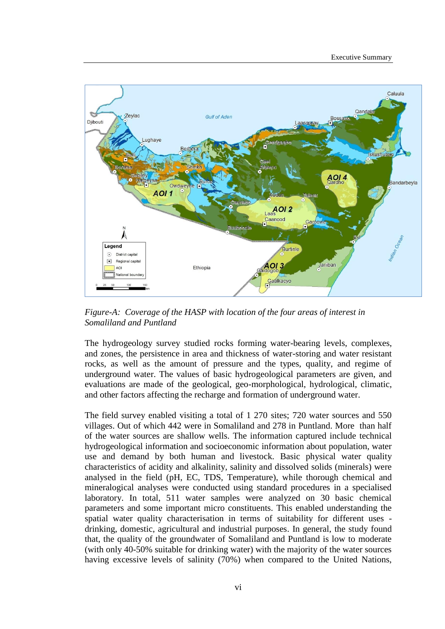

*Figure-A: Coverage of the HASP with location of the four areas of interest in Somaliland and Puntland*

The hydrogeology survey studied rocks forming water-bearing levels, complexes, and zones, the persistence in area and thickness of water-storing and water resistant rocks, as well as the amount of pressure and the types, quality, and regime of underground water. The values of basic hydrogeological parameters are given, and evaluations are made of the geological, geo-morphological, hydrological, climatic, and other factors affecting the recharge and formation of underground water.

The field survey enabled visiting a total of 1 270 sites; 720 water sources and 550 villages. Out of which 442 were in Somaliland and 278 in Puntland. More than half of the water sources are shallow wells. The information captured include technical hydrogeological information and socioeconomic information about population, water use and demand by both human and livestock. Basic physical water quality characteristics of acidity and alkalinity, salinity and dissolved solids (minerals) were analysed in the field (pH, EC, TDS, Temperature), while thorough chemical and mineralogical analyses were conducted using standard procedures in a specialised laboratory. In total, 511 water samples were analyzed on 30 basic chemical parameters and some important micro constituents. This enabled understanding the spatial water quality characterisation in terms of suitability for different uses drinking, domestic, agricultural and industrial purposes. In general, the study found that, the quality of the groundwater of Somaliland and Puntland is low to moderate (with only 40-50% suitable for drinking water) with the majority of the water sources having excessive levels of salinity (70%) when compared to the United Nations,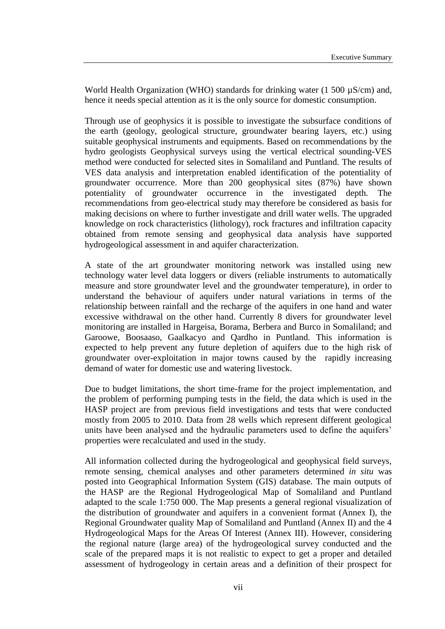World Health Organization (WHO) standards for drinking water (1 500  $\mu$ S/cm) and, hence it needs special attention as it is the only source for domestic consumption.

Through use of geophysics it is possible to investigate the subsurface conditions of the earth (geology, geological structure, groundwater bearing layers, etc.) using suitable geophysical instruments and equipments. Based on recommendations by the hydro geologists Geophysical surveys using the vertical electrical sounding-VES method were conducted for selected sites in Somaliland and Puntland. The results of VES data analysis and interpretation enabled identification of the potentiality of groundwater occurrence. More than 200 geophysical sites (87%) have shown potentiality of groundwater occurrence in the investigated depth. The recommendations from geo-electrical study may therefore be considered as basis for making decisions on where to further investigate and drill water wells. The upgraded knowledge on rock characteristics (lithology), rock fractures and infiltration capacity obtained from remote sensing and geophysical data analysis have supported hydrogeological assessment in and aquifer characterization.

A state of the art groundwater monitoring network was installed using new technology water level data loggers or divers (reliable instruments to automatically measure and store groundwater level and the groundwater temperature), in order to understand the behaviour of aquifers under natural variations in terms of the relationship between rainfall and the recharge of the aquifers in one hand and water excessive withdrawal on the other hand. Currently 8 divers for groundwater level monitoring are installed in Hargeisa, Borama, Berbera and Burco in Somaliland; and Garoowe, Boosaaso, Gaalkacyo and Qardho in Puntland. This information is expected to help prevent any future depletion of aquifers due to the high risk of groundwater over-exploitation in major towns caused by the rapidly increasing demand of water for domestic use and watering livestock.

Due to budget limitations, the short time-frame for the project implementation, and the problem of performing pumping tests in the field, the data which is used in the HASP project are from previous field investigations and tests that were conducted mostly from 2005 to 2010. Data from 28 wells which represent different geological units have been analysed and the hydraulic parameters used to define the aquifers' properties were recalculated and used in the study.

All information collected during the hydrogeological and geophysical field surveys, remote sensing, chemical analyses and other parameters determined *in situ* was posted into Geographical Information System (GIS) database. The main outputs of the HASP are the Regional Hydrogeological Map of Somaliland and Puntland adapted to the scale 1:750 000. The Map presents a general regional visualization of the distribution of groundwater and aquifers in a convenient format (Annex I), the Regional Groundwater quality Map of Somaliland and Puntland (Annex II) and the 4 Hydrogeological Maps for the Areas Of Interest (Annex III). However, considering the regional nature (large area) of the hydrogeological survey conducted and the scale of the prepared maps it is not realistic to expect to get a proper and detailed assessment of hydrogeology in certain areas and a definition of their prospect for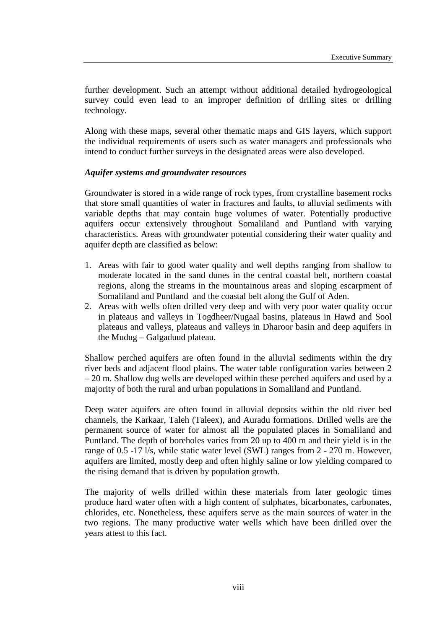further development. Such an attempt without additional detailed hydrogeological survey could even lead to an improper definition of drilling sites or drilling technology.

Along with these maps, several other thematic maps and GIS layers, which support the individual requirements of users such as water managers and professionals who intend to conduct further surveys in the designated areas were also developed.

#### *Aquifer systems and groundwater resources*

Groundwater is stored in a wide range of rock types, from crystalline basement rocks that store small quantities of water in fractures and faults, to alluvial sediments with variable depths that may contain huge volumes of water. Potentially productive aquifers occur extensively throughout Somaliland and Puntland with varying characteristics. Areas with groundwater potential considering their water quality and aquifer depth are classified as below:

- 1. Areas with fair to good water quality and well depths ranging from shallow to moderate located in the sand dunes in the central coastal belt, northern coastal regions, along the streams in the mountainous areas and sloping escarpment of Somaliland and Puntland and the coastal belt along the Gulf of Aden.
- 2. Areas with wells often drilled very deep and with very poor water quality occur in plateaus and valleys in Togdheer/Nugaal basins, plateaus in Hawd and Sool plateaus and valleys, plateaus and valleys in Dharoor basin and deep aquifers in the Mudug – Galgaduud plateau.

Shallow perched aquifers are often found in the alluvial sediments within the dry river beds and adjacent flood plains. The water table configuration varies between 2 – 20 m. Shallow dug wells are developed within these perched aquifers and used by a majority of both the rural and urban populations in Somaliland and Puntland.

Deep water aquifers are often found in alluvial deposits within the old river bed channels, the Karkaar, Taleh (Taleex), and Auradu formations. Drilled wells are the permanent source of water for almost all the populated places in Somaliland and Puntland. The depth of boreholes varies from 20 up to 400 m and their yield is in the range of 0.5 -17 l/s, while static water level (SWL) ranges from 2 - 270 m. However, aquifers are limited, mostly deep and often highly saline or low yielding compared to the rising demand that is driven by population growth.

The majority of wells drilled within these materials from later geologic times produce hard water often with a high content of sulphates, bicarbonates, carbonates, chlorides, etc. Nonetheless, these aquifers serve as the main sources of water in the two regions. The many productive water wells which have been drilled over the years attest to this fact.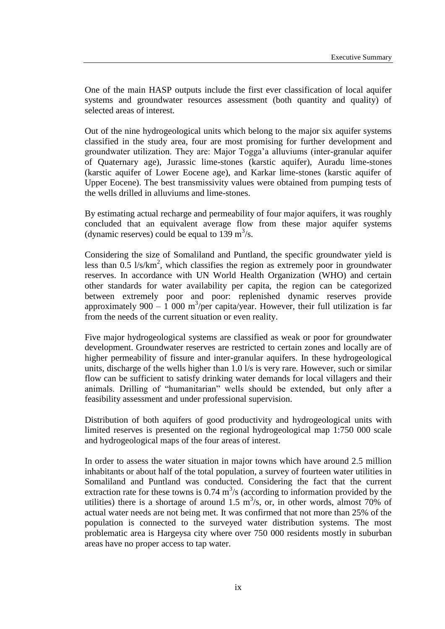One of the main HASP outputs include the first ever classification of local aquifer systems and groundwater resources assessment (both quantity and quality) of selected areas of interest.

Out of the nine hydrogeological units which belong to the major six aquifer systems classified in the study area, four are most promising for further development and groundwater utilization. They are: Major Togga'a alluviums (inter-granular aquifer of Quaternary age), Jurassic lime-stones (karstic aquifer), Auradu lime-stones (karstic aquifer of Lower Eocene age), and Karkar lime-stones (karstic aquifer of Upper Eocene). The best transmissivity values were obtained from pumping tests of the wells drilled in alluviums and lime-stones.

By estimating actual recharge and permeability of four major aquifers, it was roughly concluded that an equivalent average flow from these major aquifer systems (dynamic reserves) could be equal to 139 m<sup>3</sup>/s.

Considering the size of Somaliland and Puntland, the specific groundwater yield is less than  $0.5 \frac{1}{s/km^2}$ , which classifies the region as extremely poor in groundwater reserves. In accordance with UN World Health Organization (WHO) and certain other standards for water availability per capita, the region can be categorized between extremely poor and poor: replenished dynamic reserves provide approximately  $900 - 1000$  m<sup>3</sup>/per capita/year. However, their full utilization is far from the needs of the current situation or even reality.

Five major hydrogeological systems are classified as weak or poor for groundwater development. Groundwater reserves are restricted to certain zones and locally are of higher permeability of fissure and inter-granular aquifers. In these hydrogeological units, discharge of the wells higher than 1.0 l/s is very rare. However, such or similar flow can be sufficient to satisfy drinking water demands for local villagers and their animals. Drilling of "humanitarian" wells should be extended, but only after a feasibility assessment and under professional supervision.

Distribution of both aquifers of good productivity and hydrogeological units with limited reserves is presented on the regional hydrogeological map 1:750 000 scale and hydrogeological maps of the four areas of interest.

In order to assess the water situation in major towns which have around 2.5 million inhabitants or about half of the total population, a survey of fourteen water utilities in Somaliland and Puntland was conducted. Considering the fact that the current extraction rate for these towns is  $0.74 \text{ m}^3\text{/s}$  (according to information provided by the utilities) there is a shortage of around 1.5  $\text{m}^3$ /s, or, in other words, almost 70% of actual water needs are not being met. It was confirmed that not more than 25% of the population is connected to the surveyed water distribution systems. The most problematic area is Hargeysa city where over 750 000 residents mostly in suburban areas have no proper access to tap water.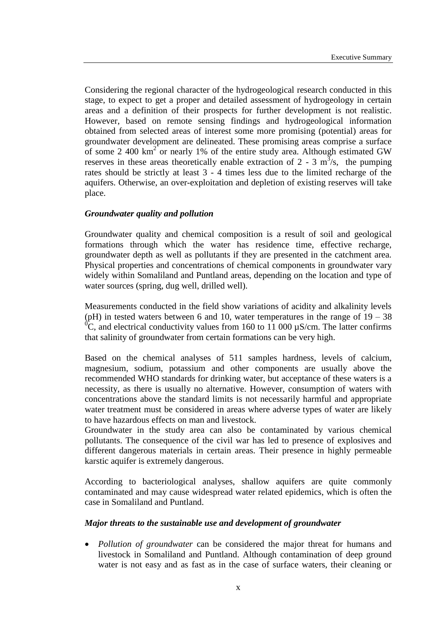Considering the regional character of the hydrogeological research conducted in this stage, to expect to get a proper and detailed assessment of hydrogeology in certain areas and a definition of their prospects for further development is not realistic. However, based on remote sensing findings and hydrogeological information obtained from selected areas of interest some more promising (potential) areas for groundwater development are delineated. These promising areas comprise a surface of some 2 400  $km^2$  or nearly 1% of the entire study area. Although estimated GW reserves in these areas theoretically enable extraction of 2 - 3  $m<sup>3</sup>/s$ , the pumping rates should be strictly at least 3 - 4 times less due to the limited recharge of the aquifers. Otherwise, an over-exploitation and depletion of existing reserves will take place.

#### *Groundwater quality and pollution*

Groundwater quality and chemical composition is a result of soil and geological formations through which the water has residence time, effective recharge, groundwater depth as well as pollutants if they are presented in the catchment area. Physical properties and concentrations of chemical components in groundwater vary widely within Somaliland and Puntland areas, depending on the location and type of water sources (spring, dug well, drilled well).

Measurements conducted in the field show variations of acidity and alkalinity levels (pH) in tested waters between 6 and 10, water temperatures in the range of  $19 - 38$  ${}^{0}C$ , and electrical conductivity values from 160 to 11 000  $\mu$ S/cm. The latter confirms that salinity of groundwater from certain formations can be very high.

Based on the chemical analyses of 511 samples hardness, levels of calcium, magnesium, sodium, potassium and other components are usually above the recommended WHO standards for drinking water, but acceptance of these waters is a necessity, as there is usually no alternative. However, consumption of waters with concentrations above the standard limits is not necessarily harmful and appropriate water treatment must be considered in areas where adverse types of water are likely to have hazardous effects on man and livestock.

Groundwater in the study area can also be contaminated by various chemical pollutants. The consequence of the civil war has led to presence of explosives and different dangerous materials in certain areas. Their presence in highly permeable karstic aquifer is extremely dangerous.

According to bacteriological analyses, shallow aquifers are quite commonly contaminated and may cause widespread water related epidemics, which is often the case in Somaliland and Puntland.

#### *Major threats to the sustainable use and development of groundwater*

 *Pollution of groundwater* can be considered the major threat for humans and livestock in Somaliland and Puntland. Although contamination of deep ground water is not easy and as fast as in the case of surface waters, their cleaning or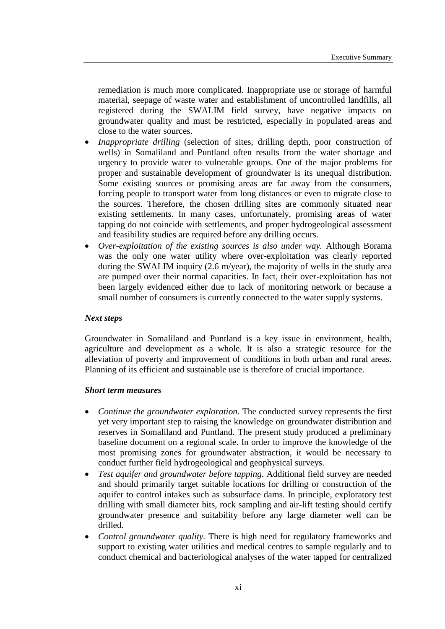remediation is much more complicated. Inappropriate use or storage of harmful material, seepage of waste water and establishment of uncontrolled landfills, all registered during the SWALIM field survey, have negative impacts on groundwater quality and must be restricted, especially in populated areas and close to the water sources.

- *Inappropriate drilling* (selection of sites, drilling depth, poor construction of wells) in Somaliland and Puntland often results from the water shortage and urgency to provide water to vulnerable groups. One of the major problems for proper and sustainable development of groundwater is its unequal distribution. Some existing sources or promising areas are far away from the consumers, forcing people to transport water from long distances or even to migrate close to the sources. Therefore, the chosen drilling sites are commonly situated near existing settlements. In many cases, unfortunately, promising areas of water tapping do not coincide with settlements, and proper hydrogeological assessment and feasibility studies are required before any drilling occurs.
- *Over-exploitation of the existing sources is also under way.* Although Borama was the only one water utility where over-exploitation was clearly reported during the SWALIM inquiry (2.6 m/year), the majority of wells in the study area are pumped over their normal capacities. In fact, their over-exploitation has not been largely evidenced either due to lack of monitoring network or because a small number of consumers is currently connected to the water supply systems.

#### *Next steps*

Groundwater in Somaliland and Puntland is a key issue in environment, health, agriculture and development as a whole. It is also a strategic resource for the alleviation of poverty and improvement of conditions in both urban and rural areas. Planning of its efficient and sustainable use is therefore of crucial importance.

#### *Short term measures*

- *Continue the groundwater exploration*. The conducted survey represents the first yet very important step to raising the knowledge on groundwater distribution and reserves in Somaliland and Puntland. The present study produced a preliminary baseline document on a regional scale. In order to improve the knowledge of the most promising zones for groundwater abstraction, it would be necessary to conduct further field hydrogeological and geophysical surveys.
- *Test aquifer and groundwater before tapping.* Additional field survey are needed and should primarily target suitable locations for drilling or construction of the aquifer to control intakes such as subsurface dams. In principle, exploratory test drilling with small diameter bits, rock sampling and air-lift testing should certify groundwater presence and suitability before any large diameter well can be drilled.
- *Control groundwater quality.* There is high need for regulatory frameworks and support to existing water utilities and medical centres to sample regularly and to conduct chemical and bacteriological analyses of the water tapped for centralized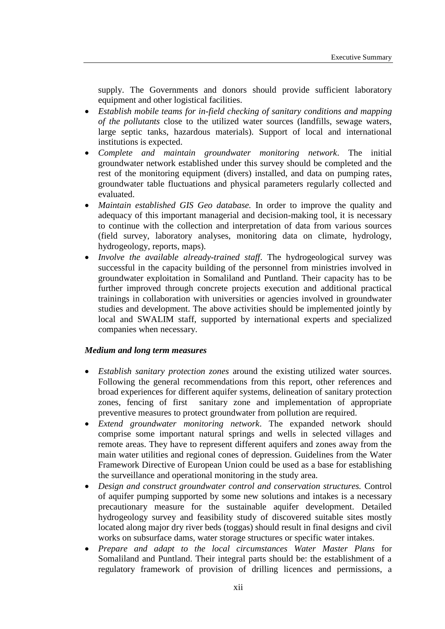supply. The Governments and donors should provide sufficient laboratory equipment and other logistical facilities.

- *Establish mobile teams for in-field checking of sanitary conditions and mapping of the pollutants* close to the utilized water sources (landfills, sewage waters, large septic tanks, hazardous materials). Support of local and international institutions is expected.
- *Complete and maintain groundwater monitoring network*. The initial groundwater network established under this survey should be completed and the rest of the monitoring equipment (divers) installed, and data on pumping rates, groundwater table fluctuations and physical parameters regularly collected and evaluated.
- *Maintain established GIS Geo database.* In order to improve the quality and adequacy of this important managerial and decision-making tool, it is necessary to continue with the collection and interpretation of data from various sources (field survey, laboratory analyses, monitoring data on climate, hydrology, hydrogeology, reports, maps).
- *Involve the available already-trained staff*. The hydrogeological survey was successful in the capacity building of the personnel from ministries involved in groundwater exploitation in Somaliland and Puntland. Their capacity has to be further improved through concrete projects execution and additional practical trainings in collaboration with universities or agencies involved in groundwater studies and development. The above activities should be implemented jointly by local and SWALIM staff, supported by international experts and specialized companies when necessary.

#### *Medium and long term measures*

- *Establish sanitary protection zones* around the existing utilized water sources. Following the general recommendations from this report, other references and broad experiences for different aquifer systems, delineation of sanitary protection zones, fencing of first sanitary zone and implementation of appropriate preventive measures to protect groundwater from pollution are required.
- *Extend groundwater monitoring network*. The expanded network should comprise some important natural springs and wells in selected villages and remote areas. They have to represent different aquifers and zones away from the main water utilities and regional cones of depression. Guidelines from the Water Framework Directive of European Union could be used as a base for establishing the surveillance and operational monitoring in the study area.
- *Design and construct groundwater control and conservation structures.* Control of aquifer pumping supported by some new solutions and intakes is a necessary precautionary measure for the sustainable aquifer development. Detailed hydrogeology survey and feasibility study of discovered suitable sites mostly located along major dry river beds (toggas) should result in final designs and civil works on subsurface dams, water storage structures or specific water intakes.
- *Prepare and adapt to the local circumstances Water Master Plans* for Somaliland and Puntland. Their integral parts should be: the establishment of a regulatory framework of provision of drilling licences and permissions, a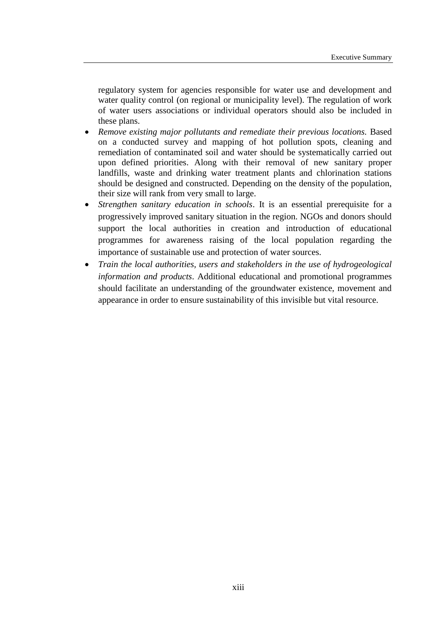regulatory system for agencies responsible for water use and development and water quality control (on regional or municipality level). The regulation of work of water users associations or individual operators should also be included in these plans.

- *Remove existing major pollutants and remediate their previous locations.* Based on a conducted survey and mapping of hot pollution spots, cleaning and remediation of contaminated soil and water should be systematically carried out upon defined priorities. Along with their removal of new sanitary proper landfills, waste and drinking water treatment plants and chlorination stations should be designed and constructed. Depending on the density of the population, their size will rank from very small to large.
- *Strengthen sanitary education in schools*. It is an essential prerequisite for a progressively improved sanitary situation in the region. NGOs and donors should support the local authorities in creation and introduction of educational programmes for awareness raising of the local population regarding the importance of sustainable use and protection of water sources.
- *Train the local authorities, users and stakeholders in the use of hydrogeological information and products*. Additional educational and promotional programmes should facilitate an understanding of the groundwater existence, movement and appearance in order to ensure sustainability of this invisible but vital resource.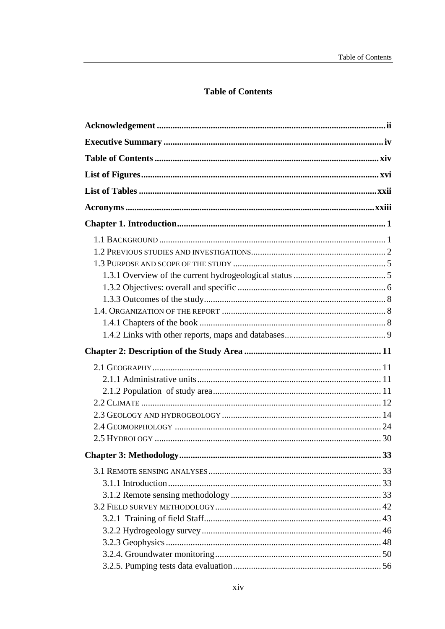## **Table of Contents**

<span id="page-14-0"></span>

| <b>Chapter 3: Methodology.</b> | 33 |
|--------------------------------|----|
|                                |    |
|                                |    |
|                                |    |
|                                |    |
|                                |    |
|                                |    |
|                                |    |
|                                |    |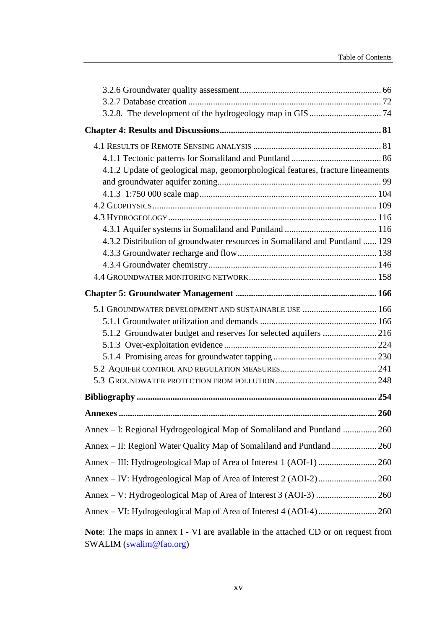| 4.1.2 Update of geological map, geomorphological features, fracture lineaments |  |
|--------------------------------------------------------------------------------|--|
|                                                                                |  |
|                                                                                |  |
|                                                                                |  |
|                                                                                |  |
|                                                                                |  |
| 4.3.2 Distribution of groundwater resources in Somaliland and Puntland  129    |  |
|                                                                                |  |
|                                                                                |  |
|                                                                                |  |
|                                                                                |  |
| 5.1 GROUNDWATER DEVELOPMENT AND SUSTAINABLE USE  166                           |  |
|                                                                                |  |
| 5.1.2 Groundwater budget and reserves for selected aquifers  216               |  |
|                                                                                |  |
|                                                                                |  |
|                                                                                |  |
|                                                                                |  |
|                                                                                |  |
|                                                                                |  |
| Annex - I: Regional Hydrogeological Map of Somaliland and Puntland  260        |  |
| Annex – II: Regionl Water Quality Map of Somaliland and Puntland 260           |  |
|                                                                                |  |
|                                                                                |  |
|                                                                                |  |
|                                                                                |  |

**Note**: The maps in annex I - VI are available in the attached CD or on request from SWALIM (swalim@fao.org)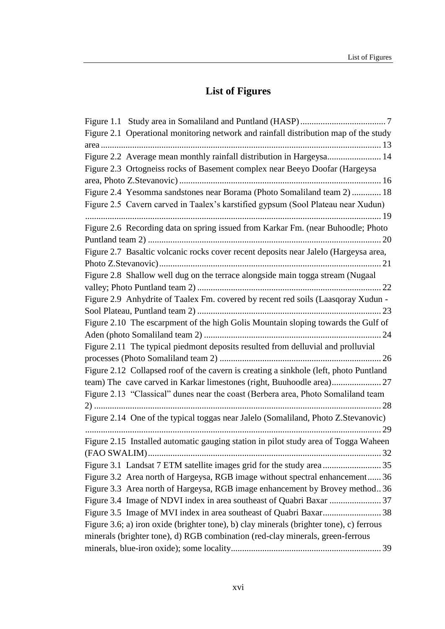# **List of Figures**

<span id="page-16-0"></span>

| Figure 2.1 Operational monitoring network and rainfall distribution map of the study    |
|-----------------------------------------------------------------------------------------|
|                                                                                         |
| Figure 2.2 Average mean monthly rainfall distribution in Hargeysa 14                    |
| Figure 2.3 Ortogneiss rocks of Basement complex near Beeyo Doofar (Hargeysa             |
|                                                                                         |
| Figure 2.4 Yesomma sandstones near Borama (Photo Somaliland team 2)  18                 |
| Figure 2.5 Cavern carved in Taalex's karstified gypsum (Sool Plateau near Xudun)        |
|                                                                                         |
| Figure 2.6 Recording data on spring issued from Karkar Fm. (near Buhoodle; Photo        |
|                                                                                         |
| Figure 2.7 Basaltic volcanic rocks cover recent deposits near Jalelo (Hargeysa area,    |
|                                                                                         |
| Figure 2.8 Shallow well dug on the terrace alongside main togga stream (Nugaal          |
|                                                                                         |
| Figure 2.9 Anhydrite of Taalex Fm. covered by recent red soils (Laasqoray Xudun -       |
|                                                                                         |
| Figure 2.10 The escarpment of the high Golis Mountain sloping towards the Gulf of       |
|                                                                                         |
| Figure 2.11 The typical piedmont deposits resulted from delluvial and prolluvial        |
|                                                                                         |
| Figure 2.12 Collapsed roof of the cavern is creating a sinkhole (left, photo Puntland   |
| team) The cave carved in Karkar limestones (right, Buuhoodle area) 27                   |
| Figure 2.13 "Classical" dunes near the coast (Berbera area, Photo Somaliland team       |
|                                                                                         |
| Figure 2.14 One of the typical toggas near Jalelo (Somaliland, Photo Z.Stevanovic)      |
|                                                                                         |
| Figure 2.15 Installed automatic gauging station in pilot study area of Togga Waheen     |
|                                                                                         |
|                                                                                         |
| Figure 3.2 Area north of Hargeysa, RGB image without spectral enhancement 36            |
| Figure 3.3 Area north of Hargeysa, RGB image enhancement by Brovey method36             |
|                                                                                         |
|                                                                                         |
| Figure 3.6; a) iron oxide (brighter tone), b) clay minerals (brighter tone), c) ferrous |
| minerals (brighter tone), d) RGB combination (red-clay minerals, green-ferrous          |
|                                                                                         |
|                                                                                         |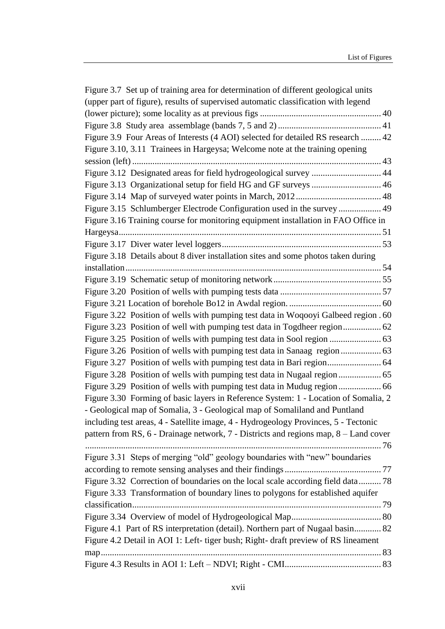| Figure 3.7 Set up of training area for determination of different geological units   |  |
|--------------------------------------------------------------------------------------|--|
| (upper part of figure), results of supervised automatic classification with legend   |  |
|                                                                                      |  |
|                                                                                      |  |
| Figure 3.9 Four Areas of Interests (4 AOI) selected for detailed RS research  42     |  |
| Figure 3.10, 3.11 Trainees in Hargeysa; Welcome note at the training opening         |  |
|                                                                                      |  |
| Figure 3.12 Designated areas for field hydrogeological survey  44                    |  |
| Figure 3.13 Organizational setup for field HG and GF surveys  46                     |  |
|                                                                                      |  |
| Figure 3.15 Schlumberger Electrode Configuration used in the survey  49              |  |
| Figure 3.16 Training course for monitoring equipment installation in FAO Office in   |  |
|                                                                                      |  |
|                                                                                      |  |
| Figure 3.18 Details about 8 diver installation sites and some photos taken during    |  |
|                                                                                      |  |
|                                                                                      |  |
|                                                                                      |  |
|                                                                                      |  |
| Figure 3.22 Position of wells with pumping test data in Woqooyi Galbeed region . 60  |  |
|                                                                                      |  |
|                                                                                      |  |
|                                                                                      |  |
| Figure 3.27 Position of wells with pumping test data in Bari region 64               |  |
|                                                                                      |  |
|                                                                                      |  |
| Figure 3.30 Forming of basic layers in Reference System: 1 - Location of Somalia, 2  |  |
| - Geological map of Somalia, 3 - Geological map of Somaliland and Puntland           |  |
| including test areas, 4 - Satellite image, 4 - Hydrogeology Provinces, 5 - Tectonic  |  |
| pattern from RS, 6 - Drainage network, 7 - Districts and regions map, 8 – Land cover |  |
|                                                                                      |  |
| Figure 3.31 Steps of merging "old" geology boundaries with "new" boundaries          |  |
|                                                                                      |  |
| Figure 3.32 Correction of boundaries on the local scale according field data 78      |  |
| Figure 3.33 Transformation of boundary lines to polygons for established aquifer     |  |
|                                                                                      |  |
|                                                                                      |  |
| Figure 4.1 Part of RS interpretation (detail). Northern part of Nugaal basin 82      |  |
| Figure 4.2 Detail in AOI 1: Left- tiger bush; Right- draft preview of RS lineament   |  |
|                                                                                      |  |
|                                                                                      |  |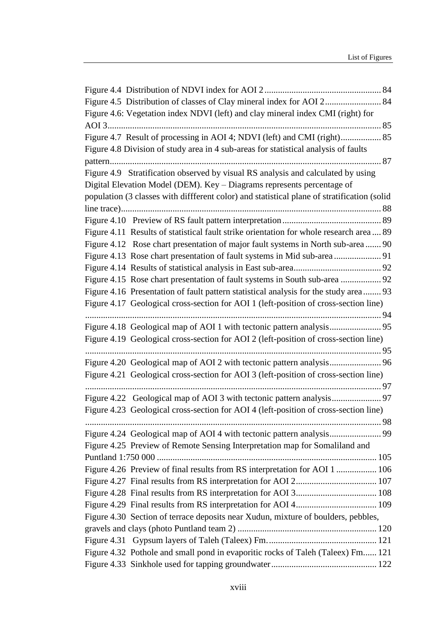| Figure 4.5 Distribution of classes of Clay mineral index for AOI 2 84                       |  |
|---------------------------------------------------------------------------------------------|--|
| Figure 4.6: Vegetation index NDVI (left) and clay mineral index CMI (right) for             |  |
|                                                                                             |  |
|                                                                                             |  |
| Figure 4.8 Division of study area in 4 sub-areas for statistical analysis of faults         |  |
|                                                                                             |  |
| Figure 4.9 Stratification observed by visual RS analysis and calculated by using            |  |
| Digital Elevation Model (DEM). Key - Diagrams represents percentage of                      |  |
| population (3 classes with diffferent color) and statistical plane of stratification (solid |  |
|                                                                                             |  |
|                                                                                             |  |
| Figure 4.11 Results of statistical fault strike orientation for whole research area 89      |  |
| Figure 4.12 Rose chart presentation of major fault systems in North sub-area 90             |  |
| Figure 4.13 Rose chart presentation of fault systems in Mid sub-area  91                    |  |
|                                                                                             |  |
| Figure 4.15 Rose chart presentation of fault systems in South sub-area  92                  |  |
| Figure 4.16 Presentation of fault pattern statistical analysis for the study area 93        |  |
| Figure 4.17 Geological cross-section for AOI 1 (left-position of cross-section line)        |  |
|                                                                                             |  |
|                                                                                             |  |
| Figure 4.19 Geological cross-section for AOI 2 (left-position of cross-section line)        |  |
|                                                                                             |  |
|                                                                                             |  |
| Figure 4.21 Geological cross-section for AOI 3 (left-position of cross-section line)        |  |
|                                                                                             |  |
|                                                                                             |  |
| Figure 4.23 Geological cross-section for AOI 4 (left-position of cross-section line)        |  |
|                                                                                             |  |
|                                                                                             |  |
| Figure 4.25 Preview of Remote Sensing Interpretation map for Somaliland and                 |  |
|                                                                                             |  |
| Figure 4.26 Preview of final results from RS interpretation for AOI 1  106                  |  |
|                                                                                             |  |
|                                                                                             |  |
|                                                                                             |  |
| Figure 4.30 Section of terrace deposits near Xudun, mixture of boulders, pebbles,           |  |
|                                                                                             |  |
|                                                                                             |  |
| Figure 4.32 Pothole and small pond in evaporitic rocks of Taleh (Taleex) Fm 121             |  |
|                                                                                             |  |
|                                                                                             |  |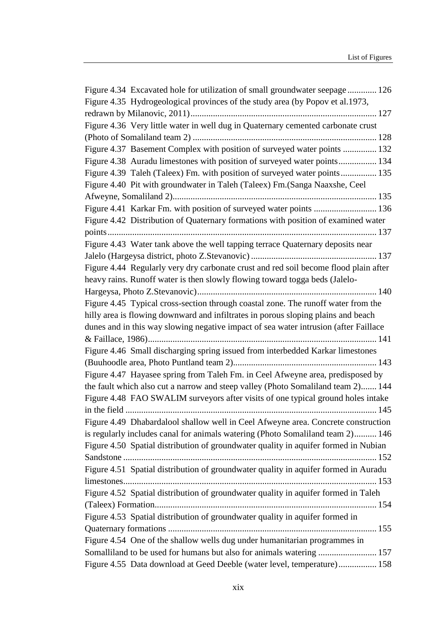| Figure 4.34 Excavated hole for utilization of small groundwater seepage 126          |
|--------------------------------------------------------------------------------------|
| Figure 4.35 Hydrogeological provinces of the study area (by Popov et al.1973,        |
|                                                                                      |
| Figure 4.36 Very little water in well dug in Quaternary cemented carbonate crust     |
|                                                                                      |
| Figure 4.37 Basement Complex with position of surveyed water points  132             |
| Figure 4.38 Auradu limestones with position of surveyed water points 134             |
| Figure 4.39 Taleh (Taleex) Fm. with position of surveyed water points 135            |
| Figure 4.40 Pit with groundwater in Taleh (Taleex) Fm.(Sanga Naaxshe, Ceel           |
|                                                                                      |
| Figure 4.41 Karkar Fm. with position of surveyed water points  136                   |
| Figure 4.42 Distribution of Quaternary formations with position of examined water    |
|                                                                                      |
| Figure 4.43 Water tank above the well tapping terrace Quaternary deposits near       |
|                                                                                      |
| Figure 4.44 Regularly very dry carbonate crust and red soil become flood plain after |
| heavy rains. Runoff water is then slowly flowing toward togga beds (Jalelo-          |
|                                                                                      |
| Figure 4.45 Typical cross-section through coastal zone. The runoff water from the    |
| hilly area is flowing downward and infiltrates in porous sloping plains and beach    |
| dunes and in this way slowing negative impact of sea water intrusion (after Faillace |
|                                                                                      |
| Figure 4.46 Small discharging spring issued from interbedded Karkar limestones       |
|                                                                                      |
| Figure 4.47 Hayasee spring from Taleh Fm. in Ceel Afweyne area, predisposed by       |
| the fault which also cut a narrow and steep valley (Photo Somaliland team 2) 144     |
| Figure 4.48 FAO SWALIM surveyors after visits of one typical ground holes intake     |
|                                                                                      |
| Figure 4.49 Dhabardalool shallow well in Ceel Afweyne area. Concrete construction    |
| is regularly includes canal for animals watering (Photo Somaliland team 2) 146       |
| Figure 4.50 Spatial distribution of groundwater quality in aquifer formed in Nubian  |
|                                                                                      |
| Figure 4.51 Spatial distribution of groundwater quality in aquifer formed in Auradu  |
|                                                                                      |
| Figure 4.52 Spatial distribution of groundwater quality in aquifer formed in Taleh   |
|                                                                                      |
| Figure 4.53 Spatial distribution of groundwater quality in aquifer formed in         |
|                                                                                      |
| Figure 4.54 One of the shallow wells dug under humanitarian programmes in            |
| Somalliland to be used for humans but also for animals watering  157                 |
| Figure 4.55 Data download at Geed Deeble (water level, temperature) 158              |
|                                                                                      |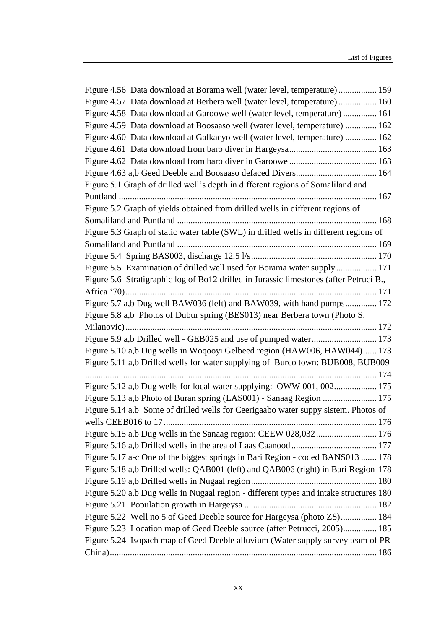| Figure 4.56 Data download at Borama well (water level, temperature) 159                |  |
|----------------------------------------------------------------------------------------|--|
| Figure 4.57 Data download at Berbera well (water level, temperature) 160               |  |
| Figure 4.58 Data download at Garoowe well (water level, temperature) 161               |  |
| Figure 4.59 Data download at Boosaaso well (water level, temperature)  162             |  |
| Figure 4.60 Data download at Galkacyo well (water level, temperature)  162             |  |
|                                                                                        |  |
|                                                                                        |  |
|                                                                                        |  |
| Figure 5.1 Graph of drilled well's depth in different regions of Somaliland and        |  |
|                                                                                        |  |
| Figure 5.2 Graph of yields obtained from drilled wells in different regions of         |  |
|                                                                                        |  |
| Figure 5.3 Graph of static water table (SWL) in drilled wells in different regions of  |  |
|                                                                                        |  |
|                                                                                        |  |
| Figure 5.5 Examination of drilled well used for Borama water supply 171                |  |
| Figure 5.6 Stratigraphic log of Bo12 drilled in Jurassic limestones (after Petruci B., |  |
|                                                                                        |  |
| Figure 5.7 a,b Dug well BAW036 (left) and BAW039, with hand pumps 172                  |  |
| Figure 5.8 a,b Photos of Dubur spring (BES013) near Berbera town (Photo S.             |  |
|                                                                                        |  |
|                                                                                        |  |
| Figure 5.10 a,b Dug wells in Woqooyi Gelbeed region (HAW006, HAW044) 173               |  |
| Figure 5.11 a,b Drilled wells for water supplying of Burco town: BUB008, BUB009        |  |
|                                                                                        |  |
| Figure 5.12 a,b Dug wells for local water supplying: OWW 001, 002 175                  |  |
| Figure 5.13 a,b Photo of Buran spring (LAS001) - Sanaag Region  175                    |  |
| Figure 5.14 a,b Some of drilled wells for Ceerigaabo water suppy sistem. Photos of     |  |
|                                                                                        |  |
| Figure 5.15 a,b Dug wells in the Sanaag region: CEEW 028,032 176                       |  |
|                                                                                        |  |
| Figure 5.17 a-c One of the biggest springs in Bari Region - coded BANS013  178         |  |
| Figure 5.18 a,b Drilled wells: QAB001 (left) and QAB006 (right) in Bari Region 178     |  |
|                                                                                        |  |
| Figure 5.20 a,b Dug wells in Nugaal region - different types and intake structures 180 |  |
|                                                                                        |  |
| Figure 5.22 Well no 5 of Geed Deeble source for Hargeysa (photo ZS) 184                |  |
| Figure 5.23 Location map of Geed Deeble source (after Petrucci, 2005) 185              |  |
| Figure 5.24 Isopach map of Geed Deeble alluvium (Water supply survey team of PR        |  |
|                                                                                        |  |
|                                                                                        |  |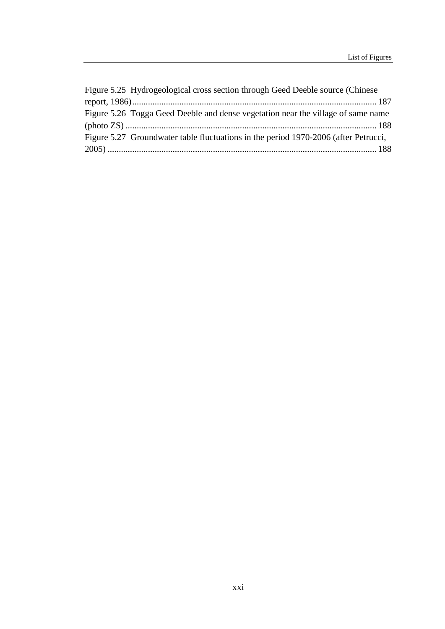| Figure 5.25 Hydrogeological cross section through Geed Deeble source (Chinese)      |
|-------------------------------------------------------------------------------------|
|                                                                                     |
| Figure 5.26 Togga Geed Deeble and dense vegetation near the village of same name    |
|                                                                                     |
| Figure 5.27 Groundwater table fluctuations in the period 1970-2006 (after Petrucci, |
|                                                                                     |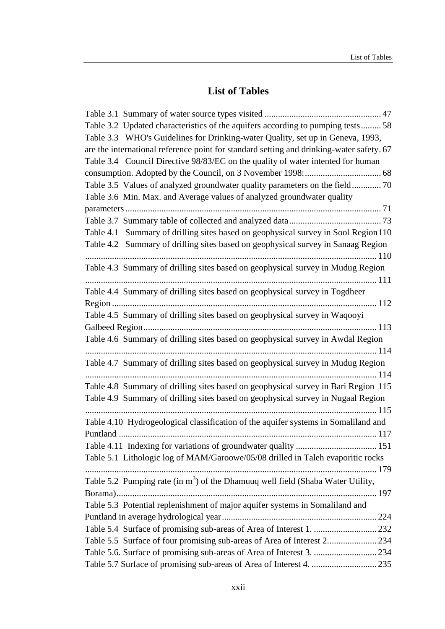## **List of Tables**

<span id="page-22-0"></span>

| Table 3.2 Updated characteristics of the aquifers according to pumping tests 58          |  |
|------------------------------------------------------------------------------------------|--|
| Table 3.3 WHO's Guidelines for Drinking-water Quality, set up in Geneva, 1993,           |  |
| are the international reference point for standard setting and drinking-water safety. 67 |  |
| Table 3.4 Council Directive 98/83/EC on the quality of water intented for human          |  |
|                                                                                          |  |
|                                                                                          |  |
| Table 3.6 Min. Max. and Average values of analyzed groundwater quality                   |  |
|                                                                                          |  |
|                                                                                          |  |
| Table 4.1 Summary of drilling sites based on geophysical survey in Sool Region 110       |  |
| Table 4.2 Summary of drilling sites based on geophysical survey in Sanaag Region         |  |
|                                                                                          |  |
| Table 4.3 Summary of drilling sites based on geophysical survey in Mudug Region          |  |
|                                                                                          |  |
| Table 4.4 Summary of drilling sites based on geophysical survey in Togdheer              |  |
|                                                                                          |  |
| Table 4.5 Summary of drilling sites based on geophysical survey in Waqooyi               |  |
|                                                                                          |  |
| Table 4.6 Summary of drilling sites based on geophysical survey in Awdal Region          |  |
|                                                                                          |  |
| Table 4.7 Summary of drilling sites based on geophysical survey in Mudug Region          |  |
|                                                                                          |  |
| Table 4.8 Summary of drilling sites based on geophysical survey in Bari Region 115       |  |
| Table 4.9 Summary of drilling sites based on geophysical survey in Nugaal Region         |  |
|                                                                                          |  |
| Table 4.10 Hydrogeological classification of the aquifer systems in Somaliland and       |  |
|                                                                                          |  |
|                                                                                          |  |
| Table 5.1 Lithologic log of MAM/Garoowe/05/08 drilled in Taleh evaporitic rocks          |  |
|                                                                                          |  |
| Table 5.2 Pumping rate (in $m3$ ) of the Dhamuuq well field (Shaba Water Utility,        |  |
|                                                                                          |  |
| Table 5.3 Potential replenishment of major aquifer systems in Somaliland and             |  |
|                                                                                          |  |
|                                                                                          |  |
|                                                                                          |  |
|                                                                                          |  |
|                                                                                          |  |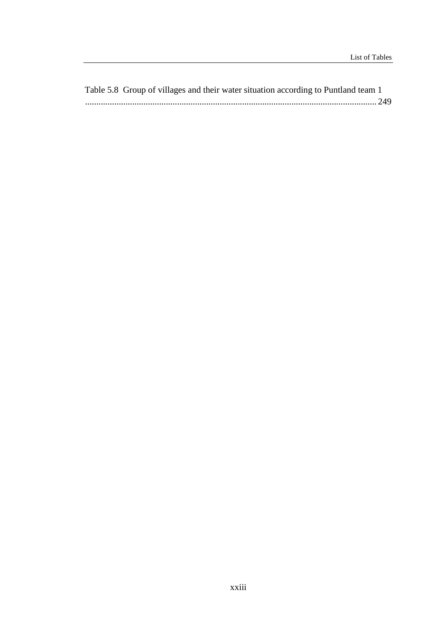Table 5.8 Group of villages and their water situation according to Puntland team 1 .................................................................................................................................. 249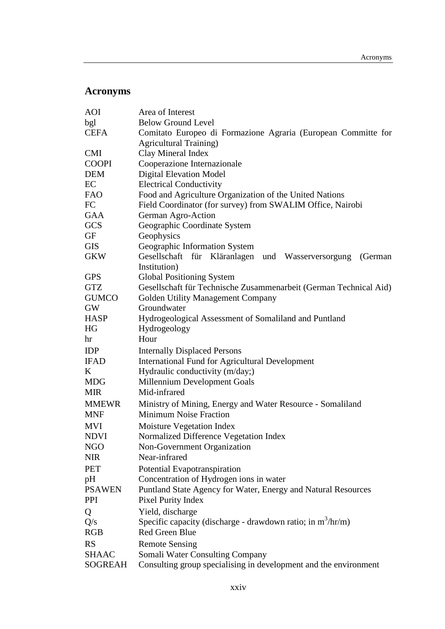## <span id="page-24-0"></span>**Acronyms**

| <b>AOI</b>    | Area of Interest                                                              |
|---------------|-------------------------------------------------------------------------------|
| bgl           | <b>Below Ground Level</b>                                                     |
| <b>CEFA</b>   | Comitato Europeo di Formazione Agraria (European Committe for                 |
|               | <b>Agricultural Training)</b>                                                 |
| <b>CMI</b>    | Clay Mineral Index                                                            |
| <b>COOPI</b>  | Cooperazione Internazionale                                                   |
| <b>DEM</b>    | <b>Digital Elevation Model</b>                                                |
| EC            | <b>Electrical Conductivity</b>                                                |
| <b>FAO</b>    | Food and Agriculture Organization of the United Nations                       |
| FC            | Field Coordinator (for survey) from SWALIM Office, Nairobi                    |
| GAA           | German Agro-Action                                                            |
| <b>GCS</b>    | Geographic Coordinate System                                                  |
| GF            | Geophysics                                                                    |
| <b>GIS</b>    | Geographic Information System                                                 |
| <b>GKW</b>    | Gesellschaft für Kläranlagen und Wasserversorgung<br>(German)<br>Institution) |
| <b>GPS</b>    | <b>Global Positioning System</b>                                              |
| <b>GTZ</b>    | Gesellschaft für Technische Zusammenarbeit (German Technical Aid)             |
| <b>GUMCO</b>  | Golden Utility Management Company                                             |
| <b>GW</b>     | Groundwater                                                                   |
| <b>HASP</b>   | Hydrogeological Assessment of Somaliland and Puntland                         |
| HG            | Hydrogeology                                                                  |
| hr            | Hour                                                                          |
| IDP           | <b>Internally Displaced Persons</b>                                           |
| <b>IFAD</b>   | <b>International Fund for Agricultural Development</b>                        |
| K             | Hydraulic conductivity (m/day;)                                               |
| <b>MDG</b>    | Millennium Development Goals                                                  |
| <b>MIR</b>    | Mid-infrared                                                                  |
| <b>MMEWR</b>  | Ministry of Mining, Energy and Water Resource - Somaliland                    |
| <b>MNF</b>    | <b>Minimum Noise Fraction</b>                                                 |
| <b>MVI</b>    | Moisture Vegetation Index                                                     |
| <b>NDVI</b>   | Normalized Difference Vegetation Index                                        |
| <b>NGO</b>    | Non-Government Organization                                                   |
| <b>NIR</b>    | Near-infrared                                                                 |
| <b>PET</b>    | Potential Evapotranspiration                                                  |
| pH            | Concentration of Hydrogen ions in water                                       |
| <b>PSAWEN</b> | Puntland State Agency for Water, Energy and Natural Resources                 |
| PPI           | Pixel Purity Index                                                            |
| Q             | Yield, discharge                                                              |
| Q/s           | Specific capacity (discharge - drawdown ratio; in $m3/hr/m$ )                 |
| <b>RGB</b>    | <b>Red Green Blue</b>                                                         |
| <b>RS</b>     | <b>Remote Sensing</b>                                                         |
| <b>SHAAC</b>  | Somali Water Consulting Company                                               |
| SOGREAH       | Consulting group specialising in development and the environment              |
|               |                                                                               |